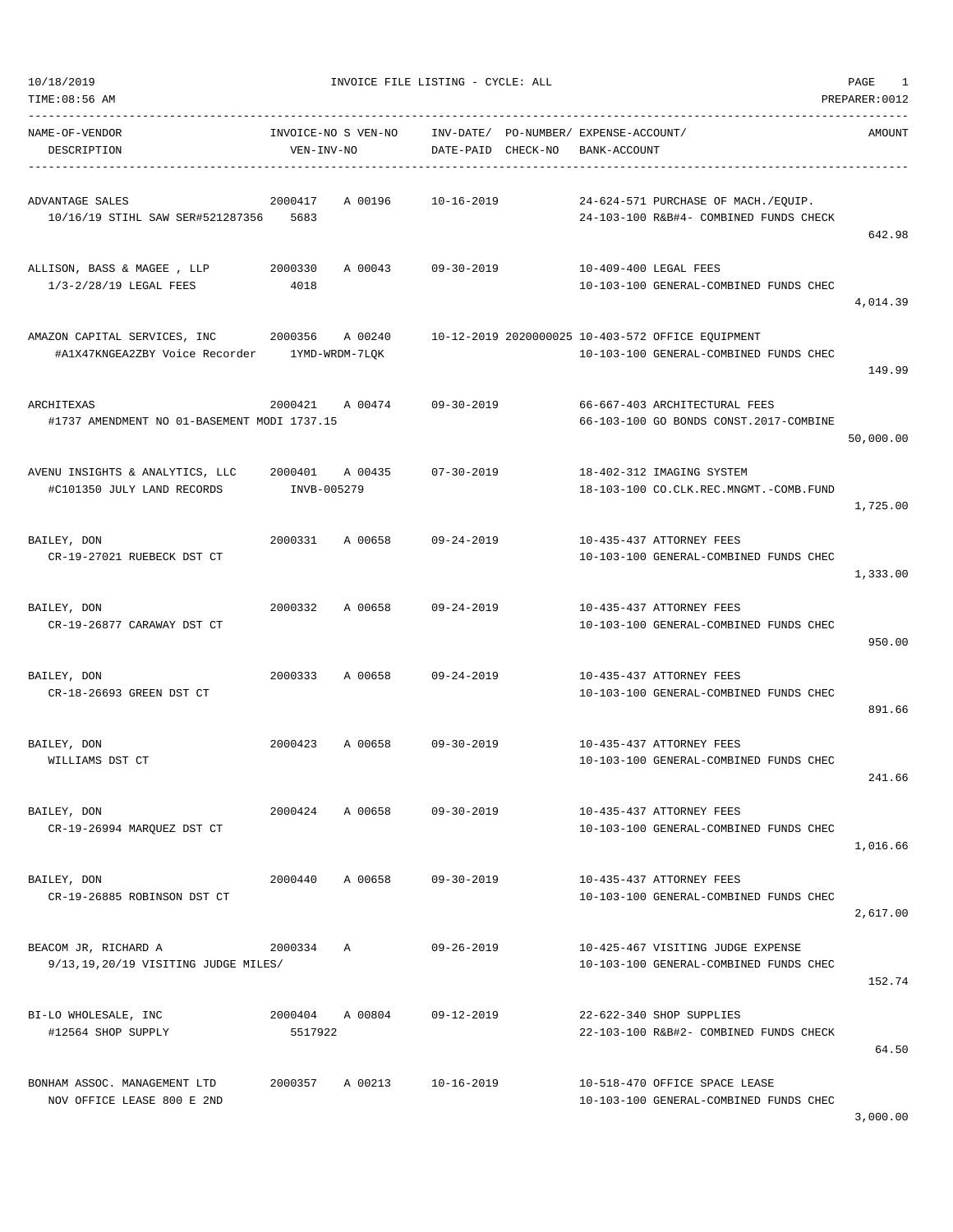| TIME:08:56 AM                                                                 |                                   |         |                  |                                                   |              |                                                                                             | PREPARER: 0012 |
|-------------------------------------------------------------------------------|-----------------------------------|---------|------------------|---------------------------------------------------|--------------|---------------------------------------------------------------------------------------------|----------------|
| NAME-OF-VENDOR<br>DESCRIPTION                                                 | INVOICE-NO S VEN-NO<br>VEN-INV-NO |         | DATE-PAID        | INV-DATE/ PO-NUMBER/ EXPENSE-ACCOUNT/<br>CHECK-NO | BANK-ACCOUNT |                                                                                             | <b>AMOUNT</b>  |
| ADVANTAGE SALES<br>10/16/19 STIHL SAW SER#521287356 5683                      | 2000417                           | A 00196 | $10 - 16 - 2019$ |                                                   |              | 24-624-571 PURCHASE OF MACH./EQUIP.<br>24-103-100 R&B#4- COMBINED FUNDS CHECK               | 642.98         |
| ALLISON, BASS & MAGEE , LLP<br>1/3-2/28/19 LEGAL FEES                         | 2000330<br>4018                   | A 00043 | 09-30-2019       |                                                   |              | 10-409-400 LEGAL FEES<br>10-103-100 GENERAL-COMBINED FUNDS CHEC                             | 4,014.39       |
| AMAZON CAPITAL SERVICES, INC<br>#A1X47KNGEA2ZBY Voice Recorder 1YMD-WRDM-7LQK | 2000356                           | A 00240 |                  |                                                   |              | 10-12-2019 2020000025 10-403-572 OFFICE EQUIPMENT<br>10-103-100 GENERAL-COMBINED FUNDS CHEC | 149.99         |
| ARCHITEXAS<br>#1737 AMENDMENT NO 01-BASEMENT MODI 1737.15                     | 2000421                           | A 00474 | $09 - 30 - 2019$ |                                                   |              | 66-667-403 ARCHITECTURAL FEES<br>66-103-100 GO BONDS CONST.2017-COMBINE                     | 50,000.00      |
| AVENU INSIGHTS & ANALYTICS, LLC<br>#C101350 JULY LAND RECORDS                 | 2000401 A 00435<br>INVB-005279    |         | 07-30-2019       |                                                   |              | 18-402-312 IMAGING SYSTEM<br>18-103-100 CO.CLK.REC.MNGMT.-COMB.FUND                         | 1,725.00       |
| BAILEY, DON<br>CR-19-27021 RUEBECK DST CT                                     | 2000331                           | A 00658 | 09-24-2019       |                                                   |              | 10-435-437 ATTORNEY FEES<br>10-103-100 GENERAL-COMBINED FUNDS CHEC                          | 1,333.00       |
| BAILEY, DON<br>CR-19-26877 CARAWAY DST CT                                     | 2000332                           | A 00658 | $09 - 24 - 2019$ |                                                   |              | 10-435-437 ATTORNEY FEES<br>10-103-100 GENERAL-COMBINED FUNDS CHEC                          | 950.00         |
| BAILEY, DON<br>CR-18-26693 GREEN DST CT                                       | 2000333                           | A 00658 | $09 - 24 - 2019$ |                                                   |              | 10-435-437 ATTORNEY FEES<br>10-103-100 GENERAL-COMBINED FUNDS CHEC                          | 891.66         |
| BAILEY, DON<br>WILLIAMS DST CT                                                | 2000423                           | A 00658 | $09 - 30 - 2019$ |                                                   |              | 10-435-437 ATTORNEY FEES<br>10-103-100 GENERAL-COMBINED FUNDS CHEC                          | 241.66         |
| BAILEY, DON<br>CR-19-26994 MARQUEZ DST CT                                     | 2000424                           | A 00658 | $09 - 30 - 2019$ |                                                   |              | 10-435-437 ATTORNEY FEES<br>10-103-100 GENERAL-COMBINED FUNDS CHEC                          | 1,016.66       |
| BAILEY, DON<br>CR-19-26885 ROBINSON DST CT                                    | 2000440                           | A 00658 | $09 - 30 - 2019$ |                                                   |              | 10-435-437 ATTORNEY FEES<br>10-103-100 GENERAL-COMBINED FUNDS CHEC                          | 2,617.00       |
| BEACOM JR, RICHARD A<br>9/13,19,20/19 VISITING JUDGE MILES/                   | 2000334 A                         |         | $09 - 26 - 2019$ |                                                   |              | 10-425-467 VISITING JUDGE EXPENSE<br>10-103-100 GENERAL-COMBINED FUNDS CHEC                 | 152.74         |
| BI-LO WHOLESALE, INC<br>#12564 SHOP SUPPLY                                    | 2000404 A 00804<br>5517922        |         | 09-12-2019       |                                                   |              | 22-622-340 SHOP SUPPLIES<br>22-103-100 R&B#2- COMBINED FUNDS CHECK                          | 64.50          |
| BONHAM ASSOC. MANAGEMENT LTD<br>NOV OFFICE LEASE 800 E 2ND                    | 2000357 A 00213                   |         | 10-16-2019       |                                                   |              | 10-518-470 OFFICE SPACE LEASE<br>10-103-100 GENERAL-COMBINED FUNDS CHEC                     | 3,000.00       |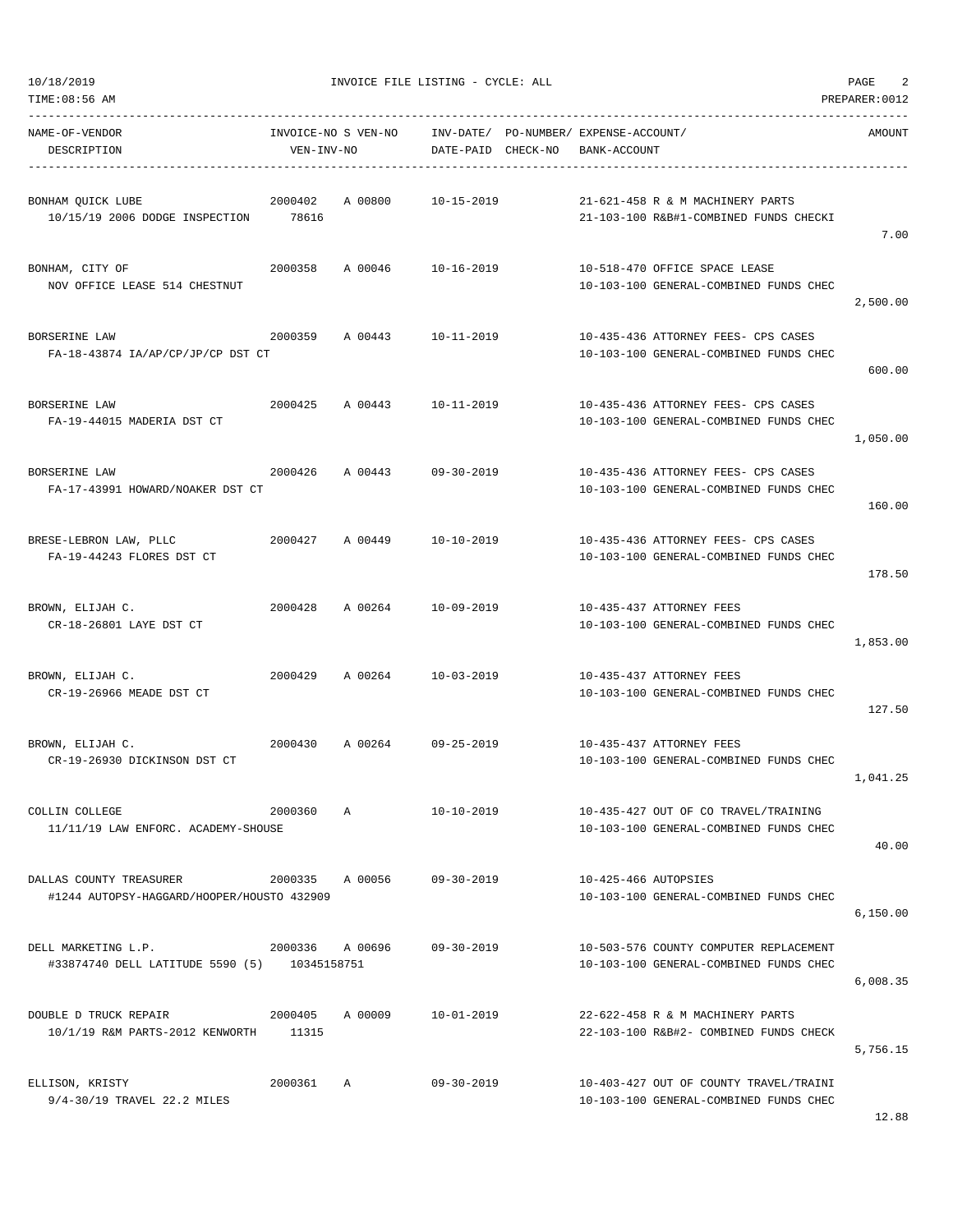| NAME-OF-VENDOR<br>DESCRIPTION                                         | INVOICE-NO S VEN-NO<br>VEN-INV-NO |         | INV-DATE/ PO-NUMBER/ EXPENSE-ACCOUNT/<br>DATE-PAID CHECK-NO | BANK-ACCOUNT         |                                                                                  | AMOUNT   |
|-----------------------------------------------------------------------|-----------------------------------|---------|-------------------------------------------------------------|----------------------|----------------------------------------------------------------------------------|----------|
| BONHAM OUICK LUBE<br>10/15/19 2006 DODGE INSPECTION 78616             | 2000402                           | A 00800 | $10 - 15 - 2019$                                            |                      | 21-621-458 R & M MACHINERY PARTS<br>21-103-100 R&B#1-COMBINED FUNDS CHECKI       | 7.00     |
| BONHAM, CITY OF<br>NOV OFFICE LEASE 514 CHESTNUT                      | 2000358                           |         | A 00046 10-16-2019                                          |                      | 10-518-470 OFFICE SPACE LEASE<br>10-103-100 GENERAL-COMBINED FUNDS CHEC          | 2,500.00 |
| BORSERINE LAW<br>FA-18-43874 IA/AP/CP/JP/CP DST CT                    | 2000359                           |         | A 00443 10-11-2019                                          |                      | 10-435-436 ATTORNEY FEES- CPS CASES<br>10-103-100 GENERAL-COMBINED FUNDS CHEC    | 600.00   |
| BORSERINE LAW<br>FA-19-44015 MADERIA DST CT                           | 2000425                           | A 00443 | 10-11-2019                                                  |                      | 10-435-436 ATTORNEY FEES- CPS CASES<br>10-103-100 GENERAL-COMBINED FUNDS CHEC    | 1,050.00 |
| BORSERINE LAW<br>FA-17-43991 HOWARD/NOAKER DST CT                     | 2000426                           |         | A 00443 09-30-2019                                          |                      | 10-435-436 ATTORNEY FEES- CPS CASES<br>10-103-100 GENERAL-COMBINED FUNDS CHEC    | 160.00   |
| BRESE-LEBRON LAW, PLLC<br>FA-19-44243 FLORES DST CT                   | 2000427                           |         | A 00449 10-10-2019                                          |                      | 10-435-436 ATTORNEY FEES- CPS CASES<br>10-103-100 GENERAL-COMBINED FUNDS CHEC    | 178.50   |
| BROWN, ELIJAH C.<br>CR-18-26801 LAYE DST CT                           | 2000428                           | A 00264 | 10-09-2019                                                  |                      | 10-435-437 ATTORNEY FEES<br>10-103-100 GENERAL-COMBINED FUNDS CHEC               | 1,853.00 |
| BROWN, ELIJAH C.<br>CR-19-26966 MEADE DST CT                          | 2000429                           | A 00264 | 10-03-2019                                                  |                      | 10-435-437 ATTORNEY FEES<br>10-103-100 GENERAL-COMBINED FUNDS CHEC               | 127.50   |
| BROWN, ELIJAH C.<br>CR-19-26930 DICKINSON DST CT                      | 2000430                           |         | A 00264 09-25-2019                                          |                      | 10-435-437 ATTORNEY FEES<br>10-103-100 GENERAL-COMBINED FUNDS CHEC               | 1,041.25 |
| COLLIN COLLEGE<br>11/11/19 LAW ENFORC. ACADEMY-SHOUSE                 | 2000360                           | Α       | $10 - 10 - 2019$                                            |                      | 10-435-427 OUT OF CO TRAVEL/TRAINING<br>10-103-100 GENERAL-COMBINED FUNDS CHEC   | 40.00    |
| DALLAS COUNTY TREASURER<br>#1244 AUTOPSY-HAGGARD/HOOPER/HOUSTO 432909 | 2000335                           | A 00056 | $09 - 30 - 2019$                                            | 10-425-466 AUTOPSIES | 10-103-100 GENERAL-COMBINED FUNDS CHEC                                           | 6,150.00 |
| DELL MARKETING L.P.<br>#33874740 DELL LATITUDE 5590 (5) 10345158751   | 2000336 A 00696                   |         | $09 - 30 - 2019$                                            |                      | 10-503-576 COUNTY COMPUTER REPLACEMENT<br>10-103-100 GENERAL-COMBINED FUNDS CHEC | 6,008.35 |
| DOUBLE D TRUCK REPAIR<br>10/1/19 R&M PARTS-2012 KENWORTH 11315        | 2000405                           | A 00009 | $10 - 01 - 2019$                                            |                      | 22-622-458 R & M MACHINERY PARTS<br>22-103-100 R&B#2- COMBINED FUNDS CHECK       | 5,756.15 |
| ELLISON, KRISTY<br>9/4-30/19 TRAVEL 22.2 MILES                        | 2000361                           | A       | $09 - 30 - 2019$                                            |                      | 10-403-427 OUT OF COUNTY TRAVEL/TRAINI<br>10-103-100 GENERAL-COMBINED FUNDS CHEC |          |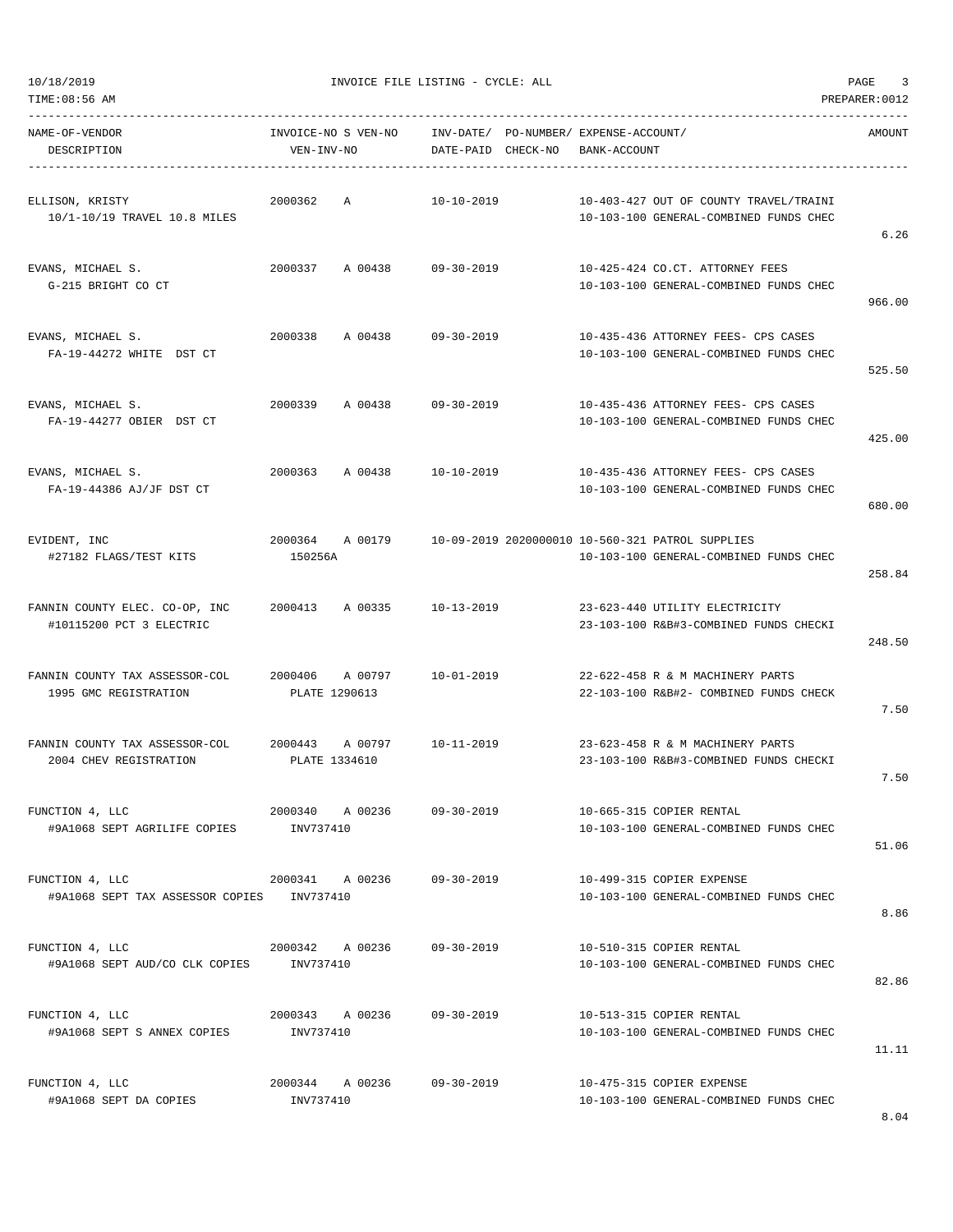----------------------------------------------------------------------------------------------------------------------------------- NAME-OF-VENDOR INVOICE-NO S VEN-NO INV-DATE/ PO-NUMBER/ EXPENSE-ACCOUNT/ AMOUNT DESCRIPTION VEN-INV-NO DATE-PAID CHECK-NO BANK-ACCOUNT ----------------------------------------------------------------------------------------------------------------------------------- ELLISON, KRISTY 2000362 A 10-10-2019 10-403-427 OUT OF COUNTY TRAVEL/TRAINI 10/1-10/19 TRAVEL 10.8 MILES 10-103-100 GENERAL-COMBINED FUNDS CHEC 6.26 EVANS, MICHAEL S. 2000337 A 00438 09-30-2019 10-425-424 CO.CT. ATTORNEY FEES G-215 BRIGHT CO CT 10-103-100 GENERAL-COMBINED FUNDS CHEC 966.00 EVANS, MICHAEL S. 2000338 A 00438 09-30-2019 10-435-436 ATTORNEY FEES- CPS CASES FA-19-44272 WHITE DST CT 10-103-100 GENERAL-COMBINED FUNDS CHEC 525.50 EVANS, MICHAEL S. 2000339 A 00438 09-30-2019 10-435-436 ATTORNEY FEES- CPS CASES FA-19-44277 OBIER DST CT 10-103-100 GENERAL-COMBINED FUNDS CHEC 425.00 EVANS, MICHAEL S. 2000363 A 00438 10-10-2019 10-435-436 ATTORNEY FEES- CPS CASES FA-19-44386 AJ/JF DST CT 10-103-100 GENERAL-COMBINED FUNDS CHEC 680.00 EVIDENT, INC 2000364 A 00179 10-09-2019 2020000010 10-560-321 PATROL SUPPLIES #27182 FLAGS/TEST KITS 150256A 10-103-100 GENERAL-COMBINED FUNDS CHEC 258.84 FANNIN COUNTY ELEC. CO-OP, INC 2000413 A 00335 10-13-2019 23-623-440 UTILITY ELECTRICITY #10115200 PCT 3 ELECTRIC 23-103-100 R&B#3-COMBINED FUNDS CHECKI 248.50 FANNIN COUNTY TAX ASSESSOR-COL 2000406 A 00797 10-01-2019 22-622-458 R & M MACHINERY PARTS 1995 GMC REGISTRATION PLATE 1290613 22-103-100 R&B#2- COMBINED FUNDS CHECK 7.50 FANNIN COUNTY TAX ASSESSOR-COL 2000443 A 00797 10-11-2019 23-623-458 R & M MACHINERY PARTS 2004 CHEV REGISTRATION PLATE 1334610 23-103-100 R&B#3-COMBINED FUNDS CHECKI 7.50 FUNCTION 4, LLC 2000340 A 00236 09-30-2019 10-665-315 COPIER RENTAL #9A1068 SEPT AGRILIFE COPIES INV737410 10-103-100 GENERAL-COMBINED FUNDS CHEC 51.06 FUNCTION 4, LLC 2000341 A 00236 09-30-2019 10-499-315 COPIER EXPENSE #9A1068 SEPT TAX ASSESSOR COPIES INV737410 10-103-100 GENERAL-COMBINED FUNDS CHEC 8.86 FUNCTION 4, LLC 2000342 A 00236 09-30-2019 10-510-315 COPIER RENTAL #9A1068 SEPT AUD/CO CLK COPIES INV737410 10-103-100 GENERAL-COMBINED FUNDS CHEC 82.86 FUNCTION 4, LLC 2000343 A 00236 09-30-2019 10-513-315 COPIER RENTAL #9A1068 SEPT S ANNEX COPIES INV737410 10-103-100 GENERAL-COMBINED FUNDS CHEC 11.11 FUNCTION 4, LLC 2000344 A 00236 09-30-2019 10-475-315 COPIER EXPENSE #9A1068 SEPT DA COPIES INV737410 10-103-100 GENERAL-COMBINED FUNDS CHEC

TIME:08:56 AM PREPARER:0012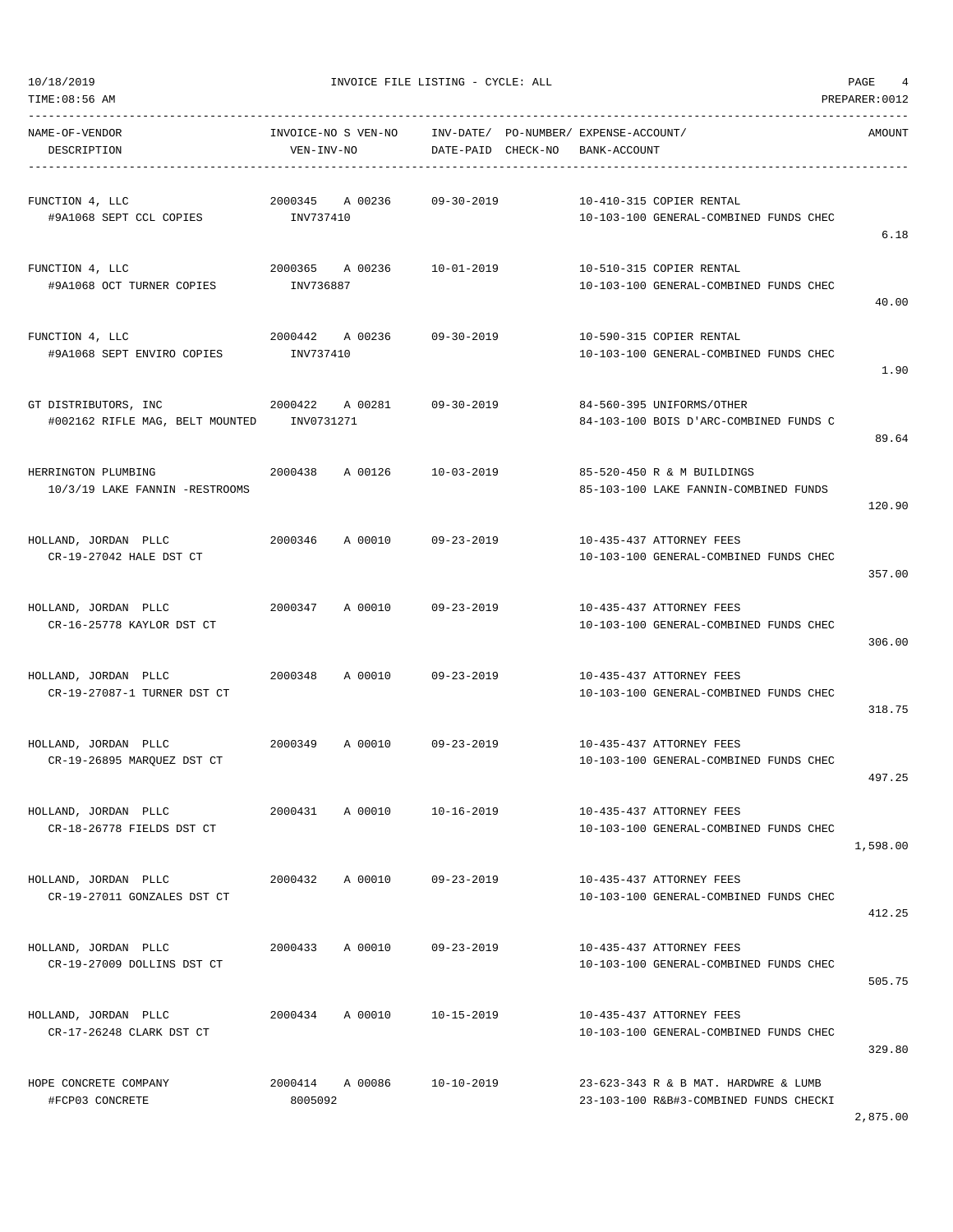TIME:08:56 AM PREPARER:0012

10/18/2019 INVOICE FILE LISTING - CYCLE: ALL PAGE 4

| NAME-OF-VENDOR<br>DESCRIPTION                                      | INVOICE-NO S VEN-NO    INV-DATE/ PO-NUMBER/ EXPENSE-ACCOUNT/<br>VEN-INV-NO | DATE-PAID CHECK-NO BANK-ACCOUNT |                                                                                | AMOUNT   |
|--------------------------------------------------------------------|----------------------------------------------------------------------------|---------------------------------|--------------------------------------------------------------------------------|----------|
| FUNCTION 4, LLC<br>#9A1068 SEPT CCL COPIES MONTH INV737410         | 2000345 A 00236 09-30-2019                                                 |                                 | 10-410-315 COPIER RENTAL<br>10-103-100 GENERAL-COMBINED FUNDS CHEC             | 6.18     |
| FUNCTION 4, LLC<br>#9A1068 OCT TURNER COPIES                       | 2000365 A 00236<br>INV736887                                               | 10-01-2019                      | 10-510-315 COPIER RENTAL<br>10-103-100 GENERAL-COMBINED FUNDS CHEC             | 40.00    |
| FUNCTION 4, LLC<br>#9A1068 SEPT ENVIRO COPIES                      | 2000442 A 00236 09-30-2019<br>INV737410                                    |                                 | 10-590-315 COPIER RENTAL<br>10-103-100 GENERAL-COMBINED FUNDS CHEC             | 1.90     |
| GT DISTRIBUTORS, INC<br>#002162 RIFLE MAG, BELT MOUNTED INV0731271 | 2000422 A 00281 09-30-2019                                                 |                                 | 84-560-395 UNIFORMS/OTHER<br>84-103-100 BOIS D'ARC-COMBINED FUNDS C            | 89.64    |
| HERRINGTON PLUMBING<br>10/3/19 LAKE FANNIN -RESTROOMS              | 2000438 A 00126 10-03-2019                                                 |                                 | 85-520-450 R & M BUILDINGS<br>85-103-100 LAKE FANNIN-COMBINED FUNDS            | 120.90   |
| HOLLAND, JORDAN PLLC<br>CR-19-27042 HALE DST CT                    | 2000346 A 00010 09-23-2019                                                 |                                 | 10-435-437 ATTORNEY FEES<br>10-103-100 GENERAL-COMBINED FUNDS CHEC             | 357.00   |
| HOLLAND, JORDAN PLLC<br>CR-16-25778 KAYLOR DST CT                  | 2000347 A 00010 09-23-2019                                                 |                                 | 10-435-437 ATTORNEY FEES<br>10-103-100 GENERAL-COMBINED FUNDS CHEC             | 306.00   |
| HOLLAND, JORDAN PLLC<br>CR-19-27087-1 TURNER DST CT                | 2000348                                                                    | A 00010 09-23-2019              | 10-435-437 ATTORNEY FEES<br>10-103-100 GENERAL-COMBINED FUNDS CHEC             | 318.75   |
| HOLLAND, JORDAN PLLC<br>CR-19-26895 MARQUEZ DST CT                 | 2000349 A 00010 09-23-2019                                                 |                                 | 10-435-437 ATTORNEY FEES<br>10-103-100 GENERAL-COMBINED FUNDS CHEC             | 497.25   |
| HOLLAND, JORDAN PLLC<br>CR-18-26778 FIELDS DST CT                  | 2000431 A 00010                                                            | $10 - 16 - 2019$                | 10-435-437 ATTORNEY FEES<br>10-103-100 GENERAL-COMBINED FUNDS CHEC             | 1,598.00 |
| HOLLAND, JORDAN PLLC<br>CR-19-27011 GONZALES DST CT                | A 00010<br>2000432                                                         | 09-23-2019                      | 10-435-437 ATTORNEY FEES<br>10-103-100 GENERAL-COMBINED FUNDS CHEC             | 412.25   |
| HOLLAND, JORDAN PLLC<br>CR-19-27009 DOLLINS DST CT                 | A 00010<br>2000433                                                         | $09 - 23 - 2019$                | 10-435-437 ATTORNEY FEES<br>10-103-100 GENERAL-COMBINED FUNDS CHEC             | 505.75   |
| HOLLAND, JORDAN PLLC<br>CR-17-26248 CLARK DST CT                   | 2000434<br>A 00010                                                         | $10 - 15 - 2019$                | 10-435-437 ATTORNEY FEES<br>10-103-100 GENERAL-COMBINED FUNDS CHEC             | 329.80   |
| HOPE CONCRETE COMPANY<br>#FCP03 CONCRETE                           | 2000414 A 00086<br>8005092                                                 | $10 - 10 - 2019$                | 23-623-343 R & B MAT. HARDWRE & LUMB<br>23-103-100 R&B#3-COMBINED FUNDS CHECKI |          |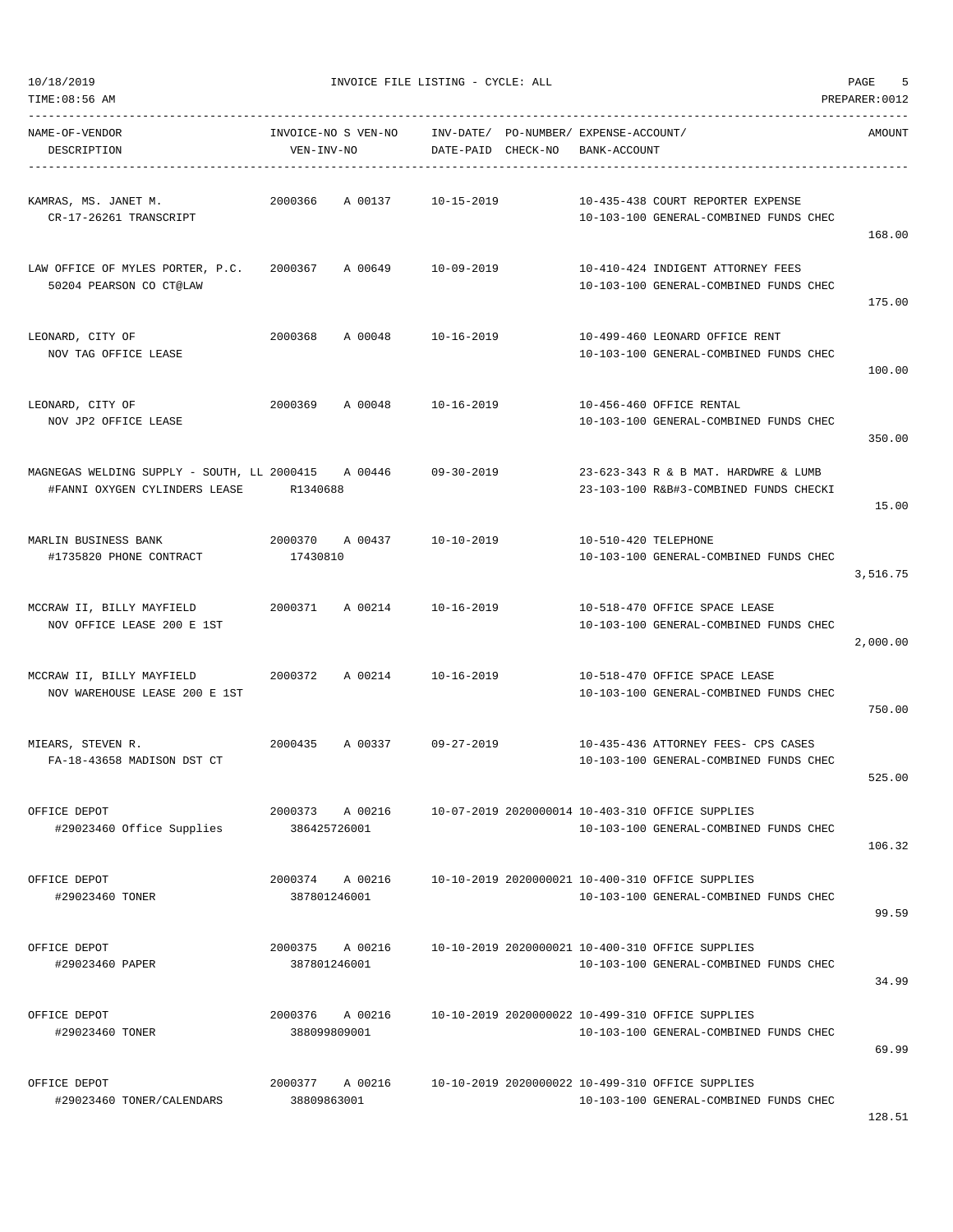| NAME-OF-VENDOR<br>DESCRIPTION                                                        | VEN-INV-NO              | INVOICE-NO S VEN-NO | INV-DATE/ PO-NUMBER/ EXPENSE-ACCOUNT/<br>DATE-PAID CHECK-NO | BANK-ACCOUNT         |                                                                                            | AMOUNT   |
|--------------------------------------------------------------------------------------|-------------------------|---------------------|-------------------------------------------------------------|----------------------|--------------------------------------------------------------------------------------------|----------|
| KAMRAS, MS. JANET M.<br>CR-17-26261 TRANSCRIPT                                       | 2000366                 | A 00137             | 10-15-2019                                                  |                      | 10-435-438 COURT REPORTER EXPENSE<br>10-103-100 GENERAL-COMBINED FUNDS CHEC                | 168.00   |
| LAW OFFICE OF MYLES PORTER, P.C.<br>50204 PEARSON CO CT@LAW                          | 2000367                 | A 00649 10-09-2019  |                                                             |                      | 10-410-424 INDIGENT ATTORNEY FEES<br>10-103-100 GENERAL-COMBINED FUNDS CHEC                | 175.00   |
| LEONARD, CITY OF<br>NOV TAG OFFICE LEASE                                             | 2000368                 | A 00048             | 10-16-2019                                                  |                      | 10-499-460 LEONARD OFFICE RENT<br>10-103-100 GENERAL-COMBINED FUNDS CHEC                   | 100.00   |
| LEONARD, CITY OF<br>NOV JP2 OFFICE LEASE                                             | 2000369                 | A 00048             | 10-16-2019                                                  |                      | 10-456-460 OFFICE RENTAL<br>10-103-100 GENERAL-COMBINED FUNDS CHEC                         | 350.00   |
| MAGNEGAS WELDING SUPPLY - SOUTH, LL 2000415 A 00446<br>#FANNI OXYGEN CYLINDERS LEASE | R1340688                |                     | $09 - 30 - 2019$                                            |                      | 23-623-343 R & B MAT. HARDWRE & LUMB<br>23-103-100 R&B#3-COMBINED FUNDS CHECKI             | 15.00    |
| MARLIN BUSINESS BANK<br>#1735820 PHONE CONTRACT                                      | 2000370<br>17430810     | A 00437             | 10-10-2019                                                  | 10-510-420 TELEPHONE | 10-103-100 GENERAL-COMBINED FUNDS CHEC                                                     | 3,516.75 |
| MCCRAW II, BILLY MAYFIELD<br>NOV OFFICE LEASE 200 E 1ST                              | 2000371                 | A 00214             | 10-16-2019                                                  |                      | 10-518-470 OFFICE SPACE LEASE<br>10-103-100 GENERAL-COMBINED FUNDS CHEC                    | 2,000.00 |
| MCCRAW II, BILLY MAYFIELD<br>NOV WAREHOUSE LEASE 200 E 1ST                           | 2000372                 | A 00214             | 10-16-2019                                                  |                      | 10-518-470 OFFICE SPACE LEASE<br>10-103-100 GENERAL-COMBINED FUNDS CHEC                    | 750.00   |
| MIEARS, STEVEN R.<br>FA-18-43658 MADISON DST CT                                      | 2000435                 | A 00337             | 09-27-2019                                                  |                      | 10-435-436 ATTORNEY FEES- CPS CASES<br>10-103-100 GENERAL-COMBINED FUNDS CHEC              | 525.00   |
| OFFICE DEPOT<br>#29023460 Office Supplies                                            | 2000373<br>386425726001 | A 00216             |                                                             |                      | 10-07-2019 2020000014 10-403-310 OFFICE SUPPLIES<br>10-103-100 GENERAL-COMBINED FUNDS CHEC | 106.32   |
| OFFICE DEPOT<br>#29023460 TONER                                                      | 2000374<br>387801246001 | A 00216             |                                                             |                      | 10-10-2019 2020000021 10-400-310 OFFICE SUPPLIES<br>10-103-100 GENERAL-COMBINED FUNDS CHEC | 99.59    |
| OFFICE DEPOT<br>#29023460 PAPER                                                      | 2000375<br>387801246001 | A 00216             |                                                             |                      | 10-10-2019 2020000021 10-400-310 OFFICE SUPPLIES<br>10-103-100 GENERAL-COMBINED FUNDS CHEC | 34.99    |
| OFFICE DEPOT<br>#29023460 TONER                                                      | 2000376<br>388099809001 | A 00216             |                                                             |                      | 10-10-2019 2020000022 10-499-310 OFFICE SUPPLIES<br>10-103-100 GENERAL-COMBINED FUNDS CHEC | 69.99    |
| OFFICE DEPOT<br>#29023460 TONER/CALENDARS                                            | 2000377<br>38809863001  | A 00216             |                                                             |                      | 10-10-2019 2020000022 10-499-310 OFFICE SUPPLIES<br>10-103-100 GENERAL-COMBINED FUNDS CHEC |          |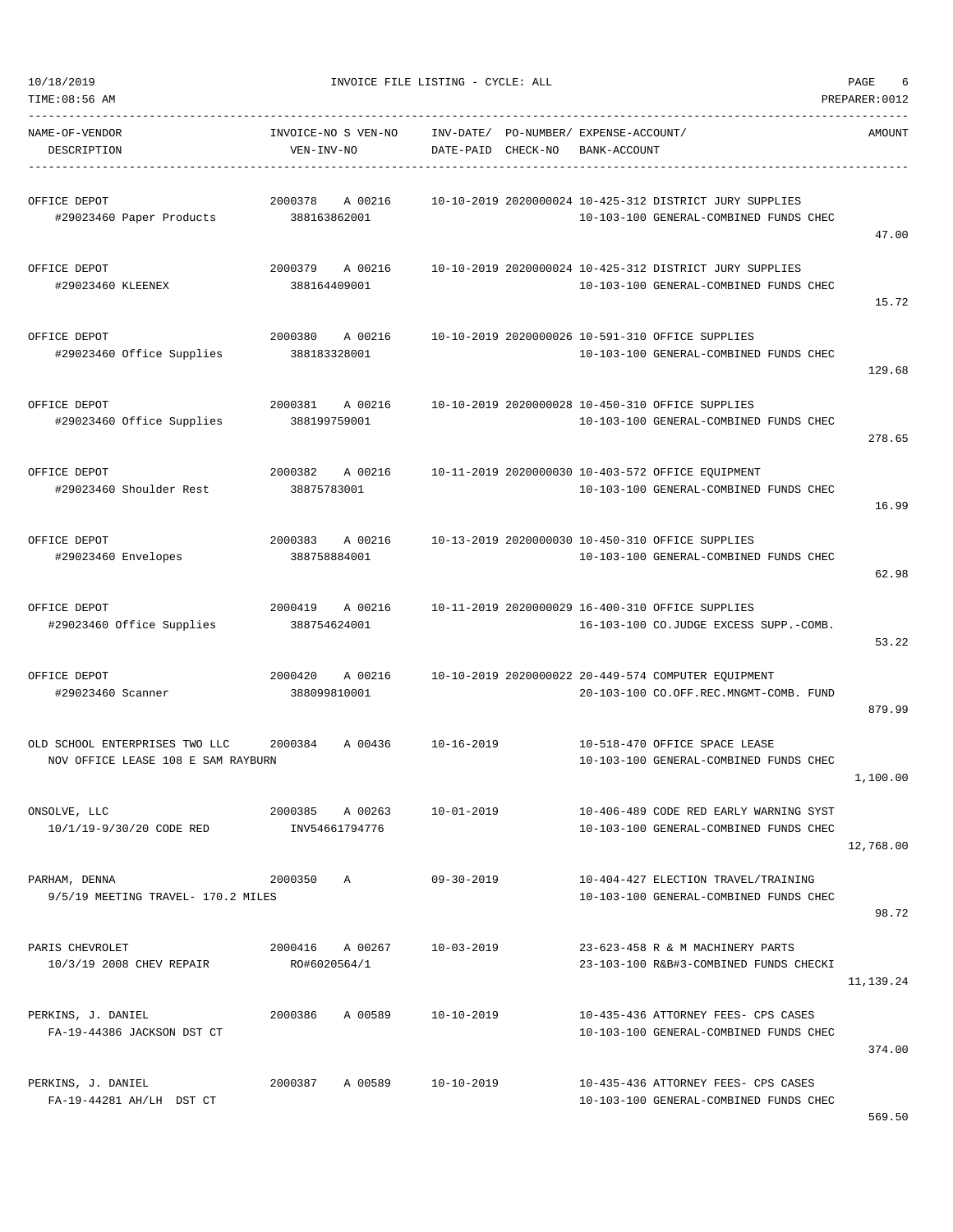47.00

15.72

129.68

278.65

16.99

62.98

53.22

879.99

1,100.00

10/18/2019 INVOICE FILE LISTING - CYCLE: ALL PAGE 6 TIME:08:56 AM PREPARER:0012 ----------------------------------------------------------------------------------------------------------------------------------- NAME-OF-VENDOR INVOICE-NO S VEN-NO INV-DATE/ PO-NUMBER/ EXPENSE-ACCOUNT/ AMOUNT DESCRIPTION VEN-INV-NO DATE-PAID CHECK-NO BANK-ACCOUNT ----------------------------------------------------------------------------------------------------------------------------------- OFFICE DEPOT 2000378 A 00216 10-10-2019 2020000024 10-425-312 DISTRICT JURY SUPPLIES #29023460 Paper Products 388163862001 10-103-100 GENERAL-COMBINED FUNDS CHEC OFFICE DEPOT 2000379 A 00216 10-10-2019 2020000024 10-425-312 DISTRICT JURY SUPPLIES #29023460 KLEENEX 388164409001 10-103-100 GENERAL-COMBINED FUNDS CHEC OFFICE DEPOT 2000380 A 00216 10-10-2019 2020000026 10-591-310 OFFICE SUPPLIES #29023460 Office Supplies 388183328001 10-103-100 GENERAL-COMBINED FUNDS CHEC OFFICE DEPOT 2000381 A 00216 10-10-2019 2020000028 10-450-310 OFFICE SUPPLIES #29023460 Office Supplies 388199759001 10-103-100 GENERAL-COMBINED FUNDS CHEC OFFICE DEPOT 2000382 A 00216 10-11-2019 2020000030 10-403-572 OFFICE EQUIPMENT #29023460 Shoulder Rest 38875783001 10-103-100 GENERAL-COMBINED FUNDS CHEC OFFICE DEPOT 2000383 A 00216 10-13-2019 2020000030 10-450-310 OFFICE SUPPLIES #29023460 Envelopes 388758884001 10-103-100 GENERAL-COMBINED FUNDS CHEC OFFICE DEPOT 2000419 A 00216 10-11-2019 2020000029 16-400-310 OFFICE SUPPLIES #29023460 Office Supplies 388754624001 16-103-100 CO.JUDGE EXCESS SUPP.-COMB. OFFICE DEPOT 2000420 A 00216 10-10-2019 2020000022 20-449-574 COMPUTER EQUIPMENT #29023460 Scanner 388099810001 20-103-100 CO.OFF.REC.MNGMT-COMB. FUND OLD SCHOOL ENTERPRISES TWO LLC 2000384 A 00436 10-16-2019 10-518-470 OFFICE SPACE LEASE NOV OFFICE LEASE 108 E SAM RAYBURN 10-103-100 GENERAL-COMBINED FUNDS CHEC ONSOLVE, LLC 2000385 A 00263 10-01-2019 10-406-489 CODE RED EARLY WARNING SYST

10/1/19-9/30/20 CODE RED INV54661794776 10-103-100 GENERAL-COMBINED FUNDS CHEC 12,768.00 PARHAM, DENNA 2000350 A 09-30-2019 10-404-427 ELECTION TRAVEL/TRAINING 9/5/19 MEETING TRAVEL- 170.2 MILES 10-100 GENERAL-COMBINED FUNDS CHEC 98.72 PARIS CHEVROLET 2000416 A 00267 10-03-2019 23-623-458 R & M MACHINERY PARTS 10/3/19 2008 CHEV REPAIR RO#6020564/1 23-103-100 R&B#3-COMBINED FUNDS CHECKI 11,139.24 PERKINS, J. DANIEL 2000386 A 00589 10-10-2019 10-435-436 ATTORNEY FEES- CPS CASES FA-19-44386 JACKSON DST CT 10-103-100 GENERAL-COMBINED FUNDS CHEC 374.00 PERKINS, J. DANIEL 2000387 A 00589 10-10-2019 10-435-436 ATTORNEY FEES- CPS CASES FA-19-44281 AH/LH DST CT 10-103-100 GENERAL-COMBINED FUNDS CHEC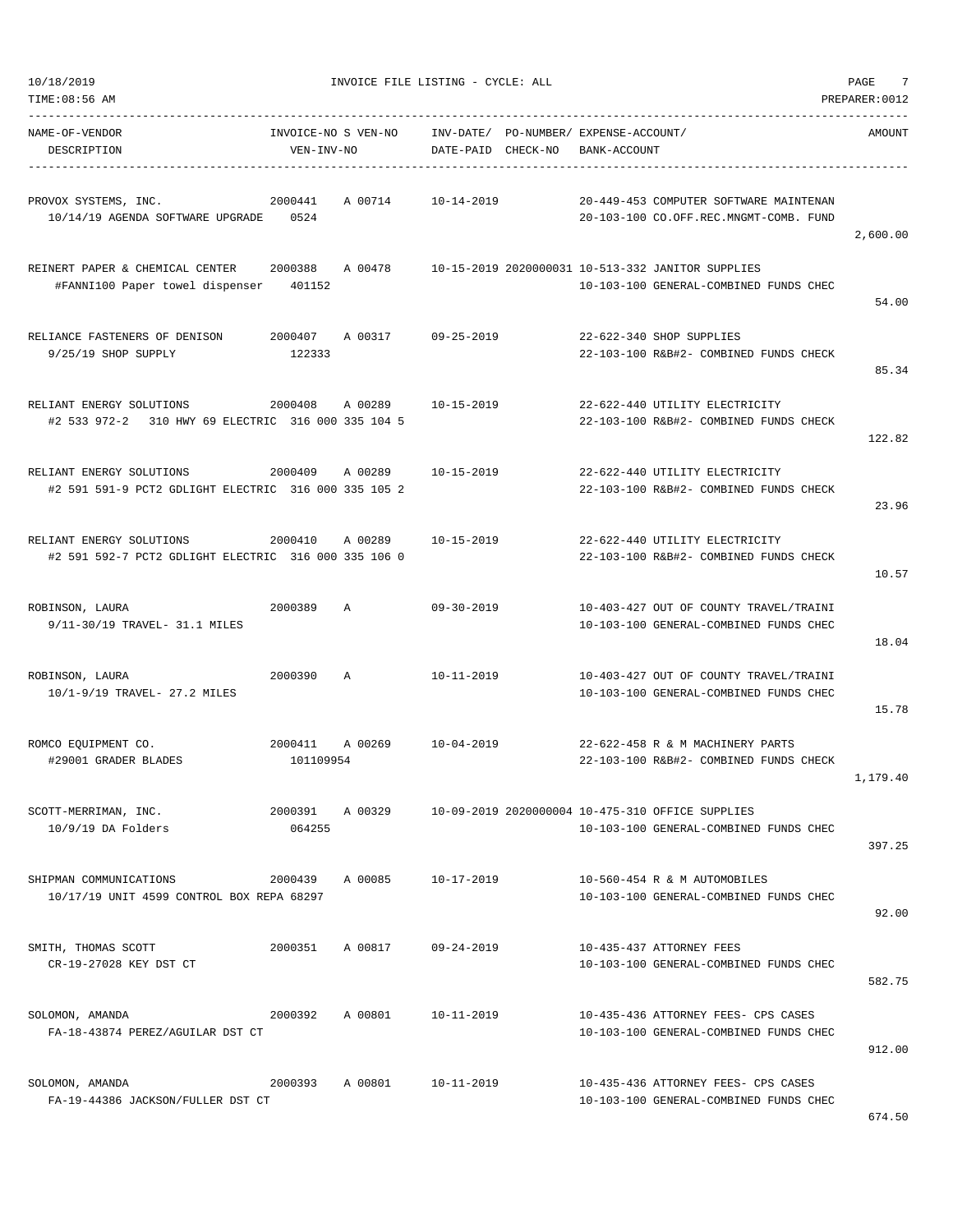| TIME:08:56 AM                                                                               |                                   |         |                    |                                       |              |                                                                                             | PREPARER: 0012 |
|---------------------------------------------------------------------------------------------|-----------------------------------|---------|--------------------|---------------------------------------|--------------|---------------------------------------------------------------------------------------------|----------------|
| NAME-OF-VENDOR<br>DESCRIPTION                                                               | INVOICE-NO S VEN-NO<br>VEN-INV-NO |         | DATE-PAID CHECK-NO | INV-DATE/ PO-NUMBER/ EXPENSE-ACCOUNT/ | BANK-ACCOUNT |                                                                                             | AMOUNT         |
| PROVOX SYSTEMS, INC.<br>10/14/19 AGENDA SOFTWARE UPGRADE                                    | 2000441<br>0524                   | A 00714 | $10 - 14 - 2019$   |                                       |              | 20-449-453 COMPUTER SOFTWARE MAINTENAN<br>20-103-100 CO.OFF.REC.MNGMT-COMB. FUND            | 2,600.00       |
| REINERT PAPER & CHEMICAL CENTER 2000388<br>#FANNI100 Paper towel dispenser                  | 401152                            | A 00478 |                    |                                       |              | 10-15-2019 2020000031 10-513-332 JANITOR SUPPLIES<br>10-103-100 GENERAL-COMBINED FUNDS CHEC | 54.00          |
| RELIANCE FASTENERS OF DENISON<br>9/25/19 SHOP SUPPLY                                        | 2000407<br>122333                 | A 00317 | 09-25-2019         |                                       |              | 22-622-340 SHOP SUPPLIES<br>22-103-100 R&B#2- COMBINED FUNDS CHECK                          | 85.34          |
| RELIANT ENERGY SOLUTIONS<br>#2 533 972-2 310 HWY 69 ELECTRIC 316 000 335 104 5              | 2000408                           | A 00289 | 10-15-2019         |                                       |              | 22-622-440 UTILITY ELECTRICITY<br>22-103-100 R&B#2- COMBINED FUNDS CHECK                    | 122.82         |
| RELIANT ENERGY SOLUTIONS<br>2000409<br>#2 591 591-9 PCT2 GDLIGHT ELECTRIC 316 000 335 105 2 |                                   | A 00289 | $10 - 15 - 2019$   |                                       |              | 22-622-440 UTILITY ELECTRICITY<br>22-103-100 R&B#2- COMBINED FUNDS CHECK                    | 23.96          |
| RELIANT ENERGY SOLUTIONS<br>#2 591 592-7 PCT2 GDLIGHT ELECTRIC 316 000 335 106 0            | 2000410                           | A 00289 | $10 - 15 - 2019$   |                                       |              | 22-622-440 UTILITY ELECTRICITY<br>22-103-100 R&B#2- COMBINED FUNDS CHECK                    | 10.57          |
| ROBINSON, LAURA<br>9/11-30/19 TRAVEL- 31.1 MILES                                            | 2000389                           | A       | 09-30-2019         |                                       |              | 10-403-427 OUT OF COUNTY TRAVEL/TRAINI<br>10-103-100 GENERAL-COMBINED FUNDS CHEC            | 18.04          |
| ROBINSON, LAURA<br>10/1-9/19 TRAVEL- 27.2 MILES                                             | 2000390                           | Α       | $10 - 11 - 2019$   |                                       |              | 10-403-427 OUT OF COUNTY TRAVEL/TRAINI<br>10-103-100 GENERAL-COMBINED FUNDS CHEC            | 15.78          |
| ROMCO EQUIPMENT CO.<br>#29001 GRADER BLADES                                                 | 2000411<br>101109954              | A 00269 | $10 - 04 - 2019$   |                                       |              | 22-622-458 R & M MACHINERY PARTS<br>22-103-100 R&B#2- COMBINED FUNDS CHECK                  | 1,179.40       |
| SCOTT-MERRIMAN, INC.<br>$10/9/19$ DA Folders                                                | 2000391<br>064255                 | A 00329 |                    |                                       |              | 10-09-2019 2020000004 10-475-310 OFFICE SUPPLIES<br>10-103-100 GENERAL-COMBINED FUNDS CHEC  | 397.25         |
| SHIPMAN COMMUNICATIONS<br>10/17/19 UNIT 4599 CONTROL BOX REPA 68297                         | 2000439                           | A 00085 | 10-17-2019         |                                       |              | 10-560-454 R & M AUTOMOBILES<br>10-103-100 GENERAL-COMBINED FUNDS CHEC                      | 92.00          |
| SMITH, THOMAS SCOTT<br>CR-19-27028 KEY DST CT                                               | 2000351                           | A 00817 | $09 - 24 - 2019$   |                                       |              | 10-435-437 ATTORNEY FEES<br>10-103-100 GENERAL-COMBINED FUNDS CHEC                          | 582.75         |
| SOLOMON, AMANDA<br>FA-18-43874 PEREZ/AGUILAR DST CT                                         | 2000392                           | A 00801 | 10-11-2019         |                                       |              | 10-435-436 ATTORNEY FEES- CPS CASES<br>10-103-100 GENERAL-COMBINED FUNDS CHEC               | 912.00         |
| SOLOMON, AMANDA<br>FA-19-44386 JACKSON/FULLER DST CT                                        | 2000393                           | A 00801 | 10-11-2019         |                                       |              | 10-435-436 ATTORNEY FEES- CPS CASES<br>10-103-100 GENERAL-COMBINED FUNDS CHEC               | 671 E          |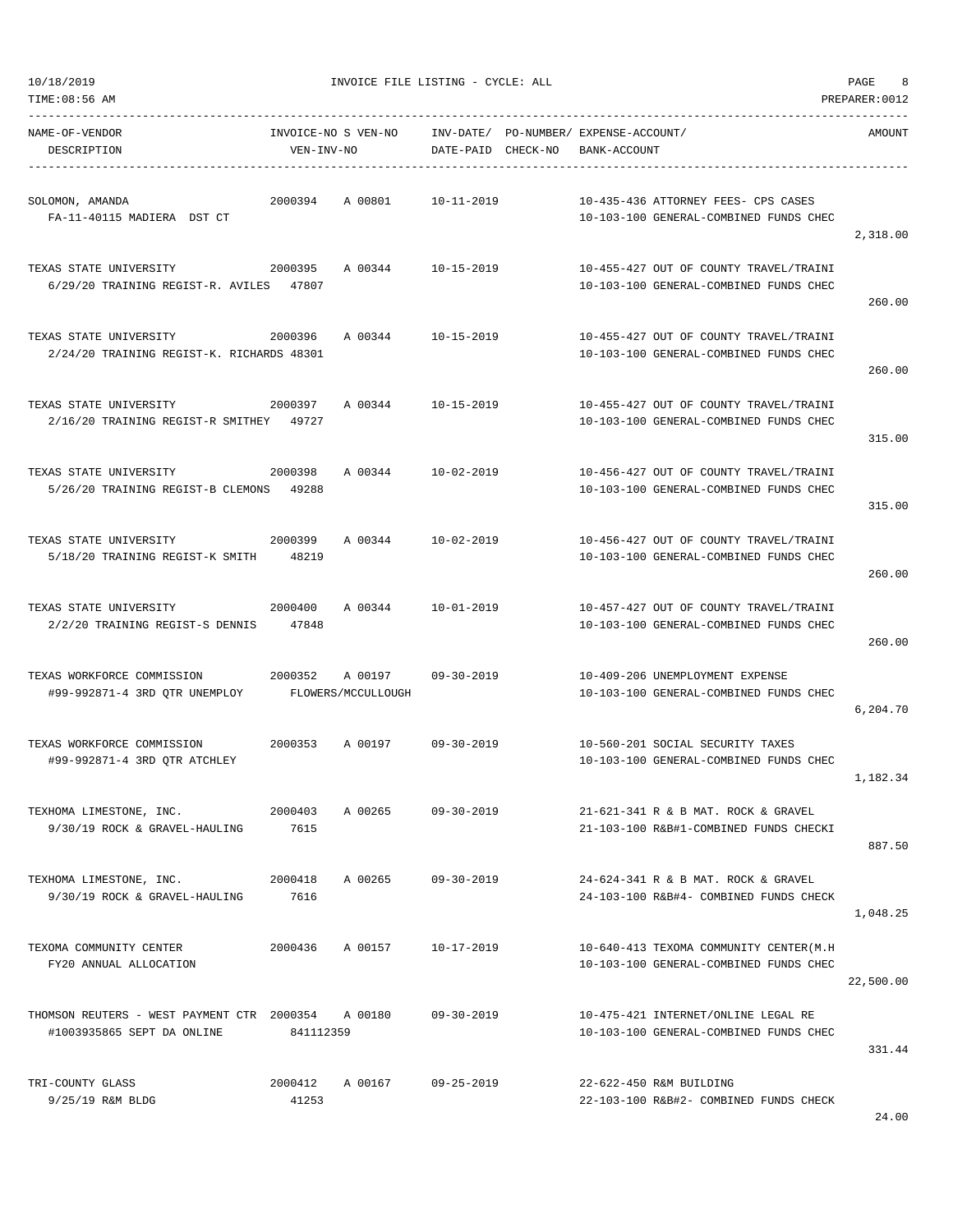TIME:08:56 AM PREPARER:0012 ----------------------------------------------------------------------------------------------------------------------------------- NAME-OF-VENDOR INVOICE-NO S VEN-NO INV-DATE/ PO-NUMBER/ EXPENSE-ACCOUNT/ AMOUNT

2,318.00

260.00

260.00

315.00

315.00

260.00

260.00

6,204.70

1,182.34

887.50

1,048.25

22,500.00

331.44

24.00

DESCRIPTION VEN-INV-NO DATE-PAID CHECK-NO BANK-ACCOUNT ----------------------------------------------------------------------------------------------------------------------------------- SOLOMON, AMANDA 2000394 A 00801 10-11-2019 10-435-436 ATTORNEY FEES- CPS CASES FA-11-40115 MADIERA DST CT 10-103-100 GENERAL-COMBINED FUNDS CHEC TEXAS STATE UNIVERSITY 2000395 A 00344 10-15-2019 10-455-427 OUT OF COUNTY TRAVEL/TRAINI  $6/29/20$  TRAINING REGIST-R. AVILES  $47807$   $10-103-100$  GENERAL-COMBINED FUNDS CHEC TEXAS STATE UNIVERSITY 2000396 A 00344 10-15-2019 10-455-427 OUT OF COUNTY TRAVEL/TRAINI  $2/24/20$  TRAINING REGIST-K. RICHARDS  $48301$   $10-103-100$  GENERAL-COMBINED FUNDS CHEC TEXAS STATE UNIVERSITY 2000397 A 00344 10-15-2019 10-455-427 OUT OF COUNTY TRAVEL/TRAINI 2/16/20 TRAINING REGIST-R SMITHEY 49727 10-103-100 GENERAL-COMBINED FUNDS CHEC TEXAS STATE UNIVERSITY 2000398 A 00344 10-02-2019 10-456-427 OUT OF COUNTY TRAVEL/TRAINI  $5/26/20$  TRAINING REGIST-B CLEMONS  $49288$ TEXAS STATE UNIVERSITY 2000399 A 00344 10-02-2019 10-456-427 OUT OF COUNTY TRAVEL/TRAINI 5/18/20 TRAINING REGIST-K SMITH 48219 10-103-100 GENERAL-COMBINED FUNDS CHEC TEXAS STATE UNIVERSITY 2000400 A 00344 10-01-2019 10-457-427 OUT OF COUNTY TRAVEL/TRAINI  $2/2/20$  TRAINING REGIST-S DENNIS  $47848$   $10-103-100$  GENERAL-COMBINED FUNDS CHEC TEXAS WORKFORCE COMMISSION 2000352 A 00197 09-30-2019 10-409-206 UNEMPLOYMENT EXPENSE #99-992871-4 3RD QTR UNEMPLOY FLOWERS/MCCULLOUGH 10-103-100 GENERAL-COMBINED FUNDS CHEC TEXAS WORKFORCE COMMISSION 2000353 A 00197 09-30-2019 10-560-201 SOCIAL SECURITY TAXES #99-992871-4 3RD QTR ATCHLEY 10-103-100 GENERAL-COMBINED FUNDS CHEC TEXHOMA LIMESTONE, INC. 2000403 A 00265 09-30-2019 21-621-341 R & B MAT. ROCK & GRAVEL 9/30/19 ROCK & GRAVEL-HAULING 7615 21-103-100 R&B#1-COMBINED FUNDS CHECKI TEXHOMA LIMESTONE, INC. 2000418 A 00265 09-30-2019 24-624-341 R & B MAT. ROCK & GRAVEL 9/30/19 ROCK & GRAVEL-HAULING 7616 24-103-100 R&B#4- COMBINED FUNDS CHECK TEXOMA COMMUNITY CENTER 2000436 A 00157 10-17-2019 10-640-413 TEXOMA COMMUNITY CENTER(M.H FY20 ANNUAL ALLOCATION 10-103-100 GENERAL-COMBINED FUNDS CHEC THOMSON REUTERS - WEST PAYMENT CTR 2000354 A 00180 09-30-2019 10-475-421 INTERNET/ONLINE LEGAL RE #1003935865 SEPT DA ONLINE 841112359 10-103-100 GENERAL-COMBINED FUNDS CHEC TRI-COUNTY GLASS 2000412 A 00167 09-25-2019 22-622-450 R&M BUILDING 9/25/19 R&M BLDG 41253 22-103-100 R&B#2- COMBINED FUNDS CHECK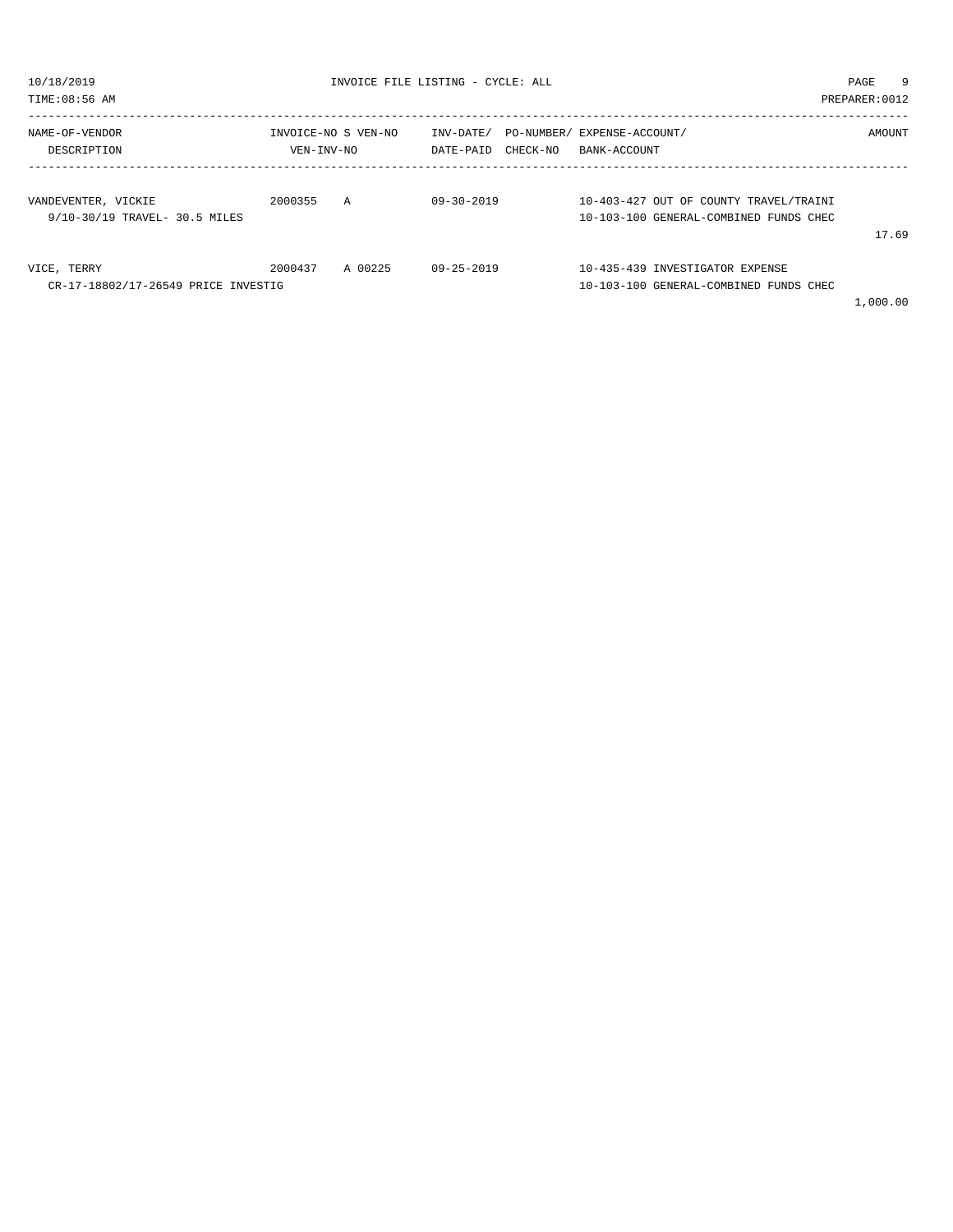| 10/18/2019<br>TIME: 08:56 AM                         |                 | INVOICE FILE LISTING - CYCLE: ALL |                  |                                                                |                                                                                  | PAGE<br>PREPARER: 0012 | 9 |
|------------------------------------------------------|-----------------|-----------------------------------|------------------|----------------------------------------------------------------|----------------------------------------------------------------------------------|------------------------|---|
| NAME-OF-VENDOR<br>DESCRIPTION                        | VEN-INV-NO      | INVOICE-NO S VEN-NO               | DATE-PAID        | INV-DATE/ PO-NUMBER/ EXPENSE-ACCOUNT/<br>CHECK-NO BANK-ACCOUNT |                                                                                  | AMOUNT                 |   |
| VANDEVENTER, VICKIE<br>9/10-30/19 TRAVEL- 30.5 MILES | 2000355         | $\overline{A}$                    | $09 - 30 - 2019$ |                                                                | 10-403-427 OUT OF COUNTY TRAVEL/TRAINI<br>10-103-100 GENERAL-COMBINED FUNDS CHEC | 17.69                  |   |
| VICE, TERRY<br>CR-17-18802/17-26549 PRICE INVESTIG   | 2000437 A 00225 |                                   | 09-25-2019       |                                                                | 10-435-439 INVESTIGATOR EXPENSE<br>10-103-100 GENERAL-COMBINED FUNDS CHEC        | 1,000.00               |   |